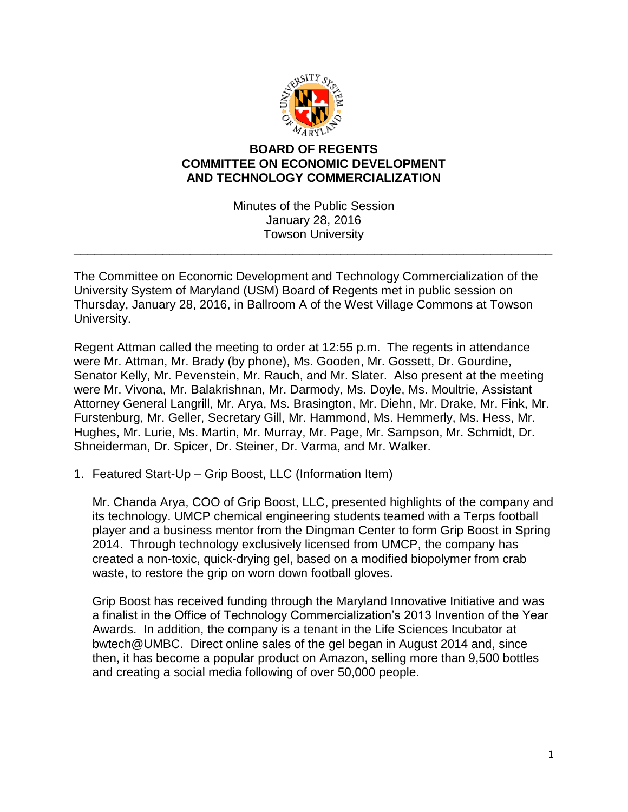

## **BOARD OF REGENTS COMMITTEE ON ECONOMIC DEVELOPMENT AND TECHNOLOGY COMMERCIALIZATION**

Minutes of the Public Session January 28, 2016 Towson University

\_\_\_\_\_\_\_\_\_\_\_\_\_\_\_\_\_\_\_\_\_\_\_\_\_\_\_\_\_\_\_\_\_\_\_\_\_\_\_\_\_\_\_\_\_\_\_\_\_\_\_\_\_\_\_\_\_\_\_\_\_\_\_\_\_\_\_\_\_\_

The Committee on Economic Development and Technology Commercialization of the University System of Maryland (USM) Board of Regents met in public session on Thursday, January 28, 2016, in Ballroom A of the West Village Commons at Towson University.

Regent Attman called the meeting to order at 12:55 p.m. The regents in attendance were Mr. Attman, Mr. Brady (by phone), Ms. Gooden, Mr. Gossett, Dr. Gourdine, Senator Kelly, Mr. Pevenstein, Mr. Rauch, and Mr. Slater. Also present at the meeting were Mr. Vivona, Mr. Balakrishnan, Mr. Darmody, Ms. Doyle, Ms. Moultrie, Assistant Attorney General Langrill, Mr. Arya, Ms. Brasington, Mr. Diehn, Mr. Drake, Mr. Fink, Mr. Furstenburg, Mr. Geller, Secretary Gill, Mr. Hammond, Ms. Hemmerly, Ms. Hess, Mr. Hughes, Mr. Lurie, Ms. Martin, Mr. Murray, Mr. Page, Mr. Sampson, Mr. Schmidt, Dr. Shneiderman, Dr. Spicer, Dr. Steiner, Dr. Varma, and Mr. Walker.

1. Featured Start-Up – Grip Boost, LLC (Information Item)

Mr. Chanda Arya, COO of Grip Boost, LLC, presented highlights of the company and its technology. UMCP chemical engineering students teamed with a Terps football player and a business mentor from the Dingman Center to form Grip Boost in Spring 2014. Through technology exclusively licensed from UMCP, the company has created a non-toxic, quick-drying gel, based on a modified biopolymer from crab waste, to restore the grip on worn down football gloves.

Grip Boost has received funding through the Maryland Innovative Initiative and was a finalist in the Office of Technology Commercialization's 2013 Invention of the Year Awards. In addition, the company is a tenant in the Life Sciences Incubator at bwtech@UMBC. Direct online sales of the gel began in August 2014 and, since then, it has become a popular product on Amazon, selling more than 9,500 bottles and creating a social media following of over 50,000 people.